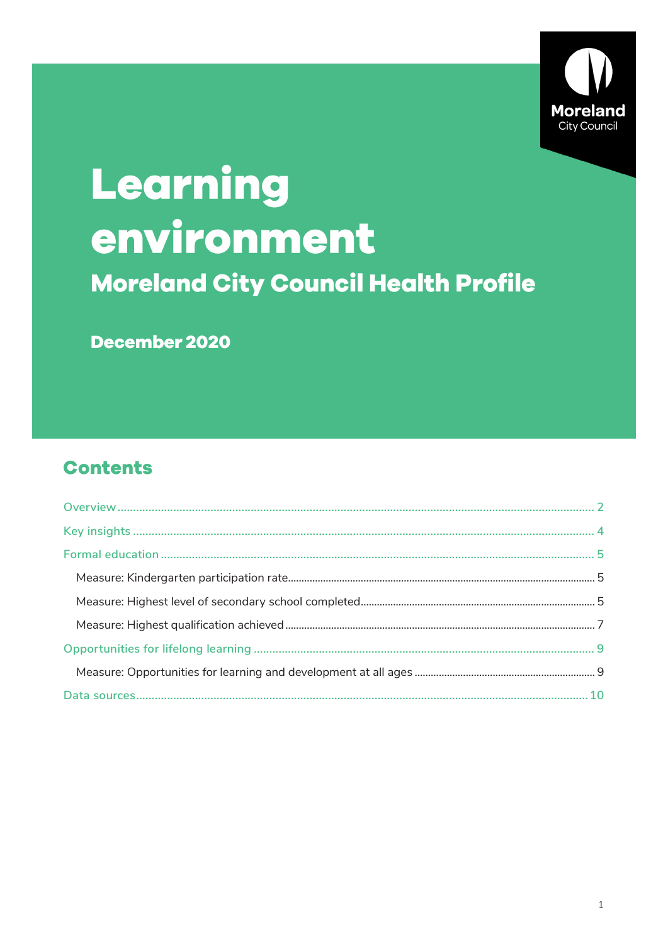

# Learning environment

**Moreland City Council Health Profile** 

December 2020

### **Contents**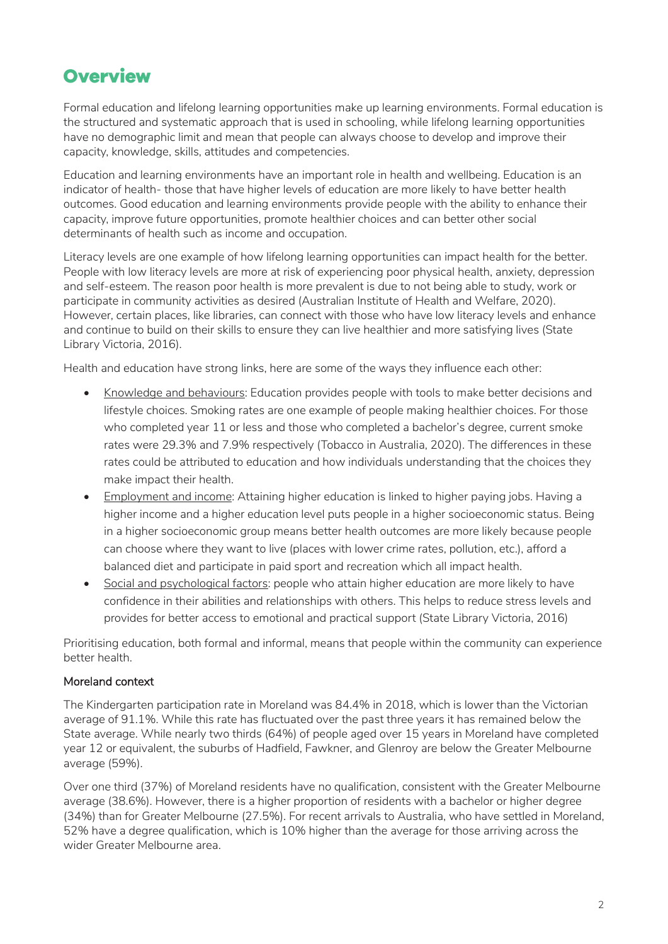### <span id="page-1-0"></span>**Overview**

Formal education and lifelong learning opportunities make up learning environments. Formal education is the structured and systematic approach that is used in schooling, while lifelong learning opportunities have no demographic limit and mean that people can always choose to develop and improve their capacity, knowledge, skills, attitudes and competencies.

Education and learning environments have an important role in health and wellbeing. Education is an indicator of health- those that have higher levels of education are more likely to have better health outcomes. Good education and learning environments provide people with the ability to enhance their capacity, improve future opportunities, promote healthier choices and can better other social determinants of health such as income and occupation.

Literacy levels are one example of how lifelong learning opportunities can impact health for the better. People with low literacy levels are more at risk of experiencing poor physical health, anxiety, depression and self-esteem. The reason poor health is more prevalent is due to not being able to study, work or participate in community activities as desired (Australian Institute of Health and Welfare, 2020). However, certain places, like libraries, can connect with those who have low literacy levels and enhance and continue to build on their skills to ensure they can live healthier and more satisfying lives (State Library Victoria, 2016).

Health and education have strong links, here are some of the ways they influence each other:

- Knowledge and behaviours: Education provides people with tools to make better decisions and lifestyle choices. Smoking rates are one example of people making healthier choices. For those who completed year 11 or less and those who completed a bachelor's degree, current smoke rates were 29.3% and 7.9% respectively (Tobacco in Australia, 2020). The differences in these rates could be attributed to education and how individuals understanding that the choices they make impact their health.
- Employment and income: Attaining higher education is linked to higher paying jobs. Having a higher income and a higher education level puts people in a higher socioeconomic status. Being in a higher socioeconomic group means better health outcomes are more likely because people can choose where they want to live (places with lower crime rates, pollution, etc.), afford a balanced diet and participate in paid sport and recreation which all impact health.
- Social and psychological factors: people who attain higher education are more likely to have confidence in their abilities and relationships with others. This helps to reduce stress levels and provides for better access to emotional and practical support (State Library Victoria, 2016)

Prioritising education, both formal and informal, means that people within the community can experience better health.

### Moreland context

The Kindergarten participation rate in Moreland was 84.4% in 2018, which is lower than the Victorian average of 91.1%. While this rate has fluctuated over the past three years it has remained below the State average. While nearly two thirds (64%) of people aged over 15 years in Moreland have completed year 12 or equivalent, the suburbs of Hadfield, Fawkner, and Glenroy are below the Greater Melbourne average (59%).

Over one third (37%) of Moreland residents have no qualification, consistent with the Greater Melbourne average (38.6%). However, there is a higher proportion of residents with a bachelor or higher degree (34%) than for Greater Melbourne (27.5%). For recent arrivals to Australia, who have settled in Moreland, 52% have a degree qualification, which is 10% higher than the average for those arriving across the wider Greater Melbourne area.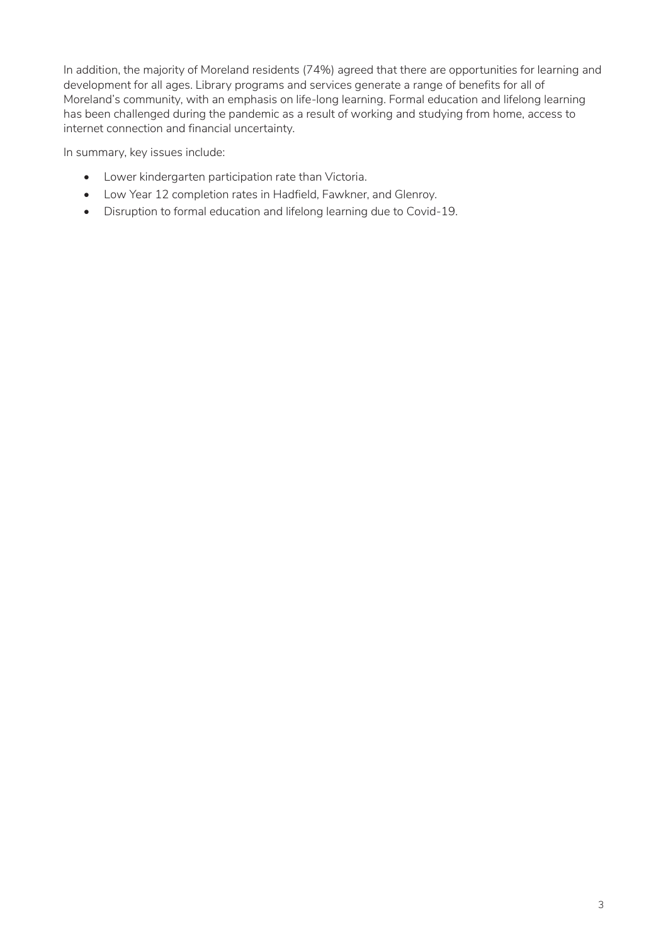In addition, the majority of Moreland residents (74%) agreed that there are opportunities for learning and development for all ages. Library programs and services generate a range of benefits for all of Moreland's community, with an emphasis on life-long learning. Formal education and lifelong learning has been challenged during the pandemic as a result of working and studying from home, access to internet connection and financial uncertainty.

In summary, key issues include:

- Lower kindergarten participation rate than Victoria.
- Low Year 12 completion rates in Hadfield, Fawkner, and Glenroy.
- Disruption to formal education and lifelong learning due to Covid-19.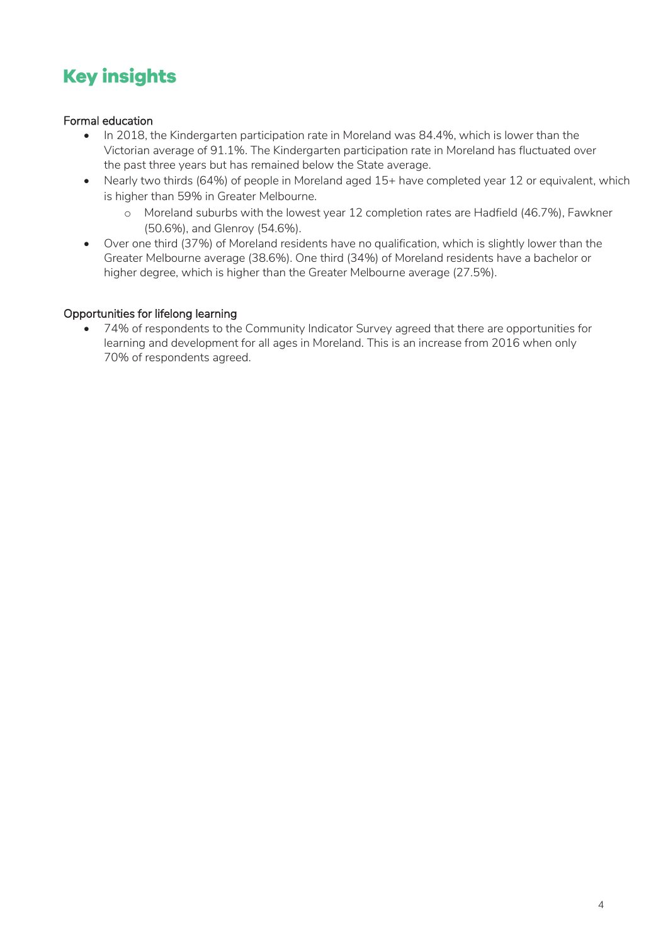## <span id="page-3-0"></span>**Key insights**

### Formal education

- In 2018, the Kindergarten participation rate in Moreland was 84.4%, which is lower than the Victorian average of 91.1%. The Kindergarten participation rate in Moreland has fluctuated over the past three years but has remained below the State average.
- Nearly two thirds (64%) of people in Moreland aged 15+ have completed year 12 or equivalent, which is higher than 59% in Greater Melbourne.
	- o Moreland suburbs with the lowest year 12 completion rates are Hadfield (46.7%), Fawkner (50.6%), and Glenroy (54.6%).
- Over one third (37%) of Moreland residents have no qualification, which is slightly lower than the Greater Melbourne average (38.6%). One third (34%) of Moreland residents have a bachelor or higher degree, which is higher than the Greater Melbourne average (27.5%).

### Opportunities for lifelong learning

• 74% of respondents to the Community Indicator Survey agreed that there are opportunities for learning and development for all ages in Moreland. This is an increase from 2016 when only 70% of respondents agreed.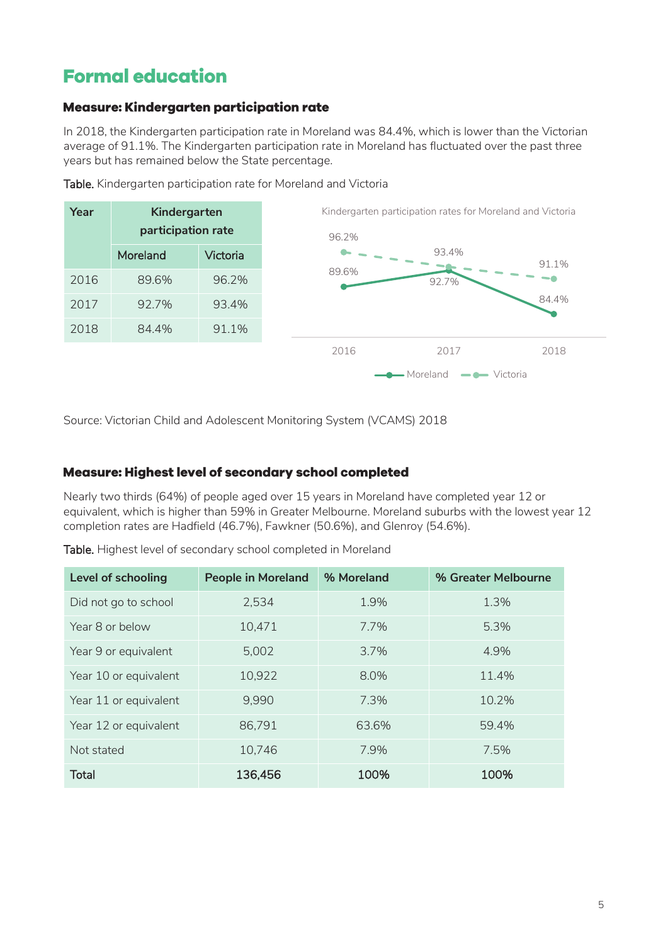### <span id="page-4-0"></span>**Formal education**

### <span id="page-4-1"></span>Measure: Kindergarten participation rate

In 2018, the Kindergarten participation rate in Moreland was 84.4%, which is lower than the Victorian average of 91.1%. The Kindergarten participation rate in Moreland has fluctuated over the past three years but has remained below the State percentage.

| Year | Kindergarten<br>participation rate |          |  |
|------|------------------------------------|----------|--|
|      | Moreland                           | Victoria |  |
| 2016 | 89.6%                              | 96.2%    |  |
| 2017 | 92.7%                              | 93.4%    |  |
| 2018 | 844%                               | 91.1%    |  |

Table. Kindergarten participation rate for Moreland and Victoria



Source: Victorian Child and Adolescent Monitoring System (VCAMS) 2018

### <span id="page-4-2"></span>Measure: Highest level of secondary school completed

Nearly two thirds (64%) of people aged over 15 years in Moreland have completed year 12 or equivalent, which is higher than 59% in Greater Melbourne. Moreland suburbs with the lowest year 12 completion rates are Hadfield (46.7%), Fawkner (50.6%), and Glenroy (54.6%).

Table. Highest level of secondary school completed in Moreland

| <b>Level of schooling</b> | <b>People in Moreland</b> | % Moreland | % Greater Melbourne |
|---------------------------|---------------------------|------------|---------------------|
| Did not go to school      | 2,534                     | 1.9%       | 1.3%                |
| Year 8 or below           | 10,471                    | 7.7%       | 5.3%                |
| Year 9 or equivalent      | 5,002                     | 3.7%       | 4.9%                |
| Year 10 or equivalent     | 10,922                    | 8.0%       | 11.4%               |
| Year 11 or equivalent     | 9,990                     | 7.3%       | 10.2%               |
| Year 12 or equivalent     | 86,791                    | 63.6%      | 59.4%               |
| Not stated                | 10,746                    | 7.9%       | 7.5%                |
| <b>Total</b>              | 136,456                   | 100%       | 100%                |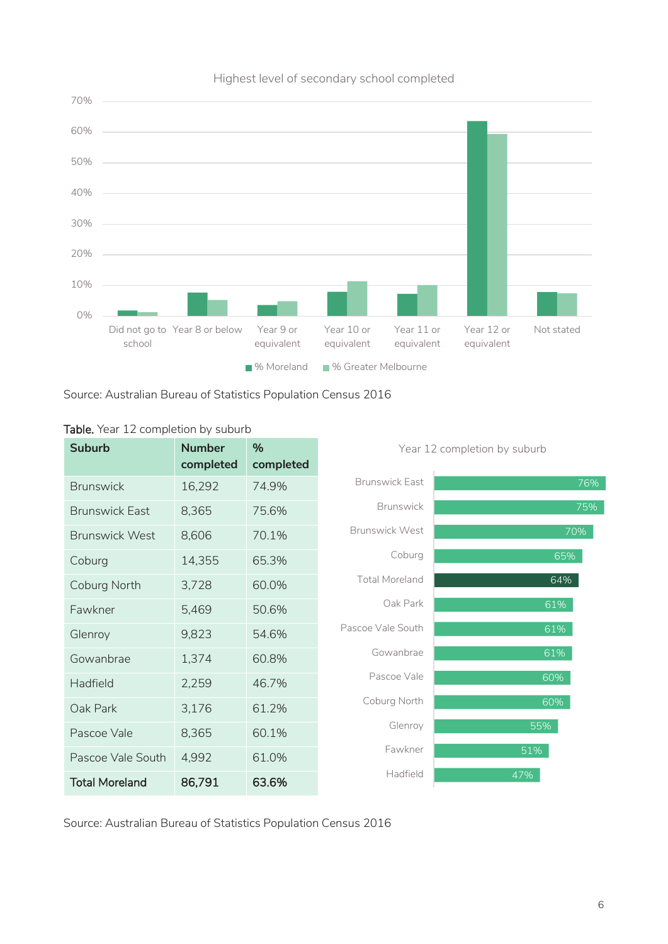

### Highest level of secondary school completed

Source: Australian Bureau of Statistics Population Census 2016

| <b>Suburb</b>         | <b>Number</b><br>completed | %<br>completed | Year 12 completion by suburb |     |
|-----------------------|----------------------------|----------------|------------------------------|-----|
| <b>Brunswick</b>      | 16,292                     | 74.9%          | <b>Brunswick Fast</b>        | 76% |
| <b>Brunswick East</b> | 8,365                      | 75.6%          | <b>Brunswick</b>             | 75% |
| <b>Brunswick West</b> | 8,606                      | 70.1%          | <b>Brunswick West</b>        | 70% |
| Coburg                | 14,355                     | 65.3%          | Coburg                       | 65% |
| Coburg North          | 3,728                      | 60.0%          | <b>Total Moreland</b>        | 64% |
| Fawkner               | 5,469                      | 50.6%          | Oak Park                     | 61% |
| Glenroy               | 9,823                      | 54.6%          | Pascoe Vale South            | 61% |
| Gowanbrae             | 1,374                      | 60.8%          | Gowanbrae                    | 61% |
| Hadfield              | 2,259                      | 46.7%          | Pascoe Vale                  | 60% |
| Oak Park              | 3,176                      | 61.2%          | Coburg North                 | 60% |
| Pascoe Vale           | 8,365                      | 60.1%          | Glenroy                      | 55% |
| Pascoe Vale South     | 4,992                      | 61.0%          | Fawkner                      | 51% |
| <b>Total Moreland</b> | 86,791                     | 63.6%          | Hadfield                     | 47% |

### Table. Year 12 completion by suburb

Source: Australian Bureau of Statistics Population Census 2016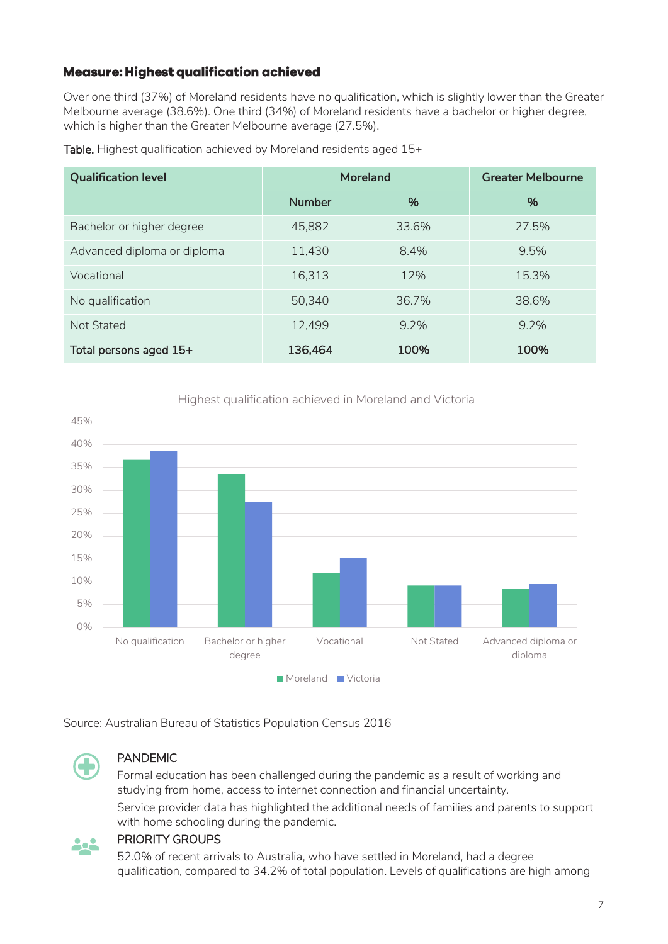### <span id="page-6-0"></span>**Measure: Highest qualification achieved**

Over one third (37%) of Moreland residents have no qualification, which is slightly lower than the Greater Melbourne average (38.6%). One third (34%) of Moreland residents have a bachelor or higher degree, which is higher than the Greater Melbourne average (27.5%).

| <b>Qualification level</b>  | <b>Moreland</b> |         | <b>Greater Melbourne</b> |
|-----------------------------|-----------------|---------|--------------------------|
|                             | <b>Number</b>   | %       | %                        |
| Bachelor or higher degree   | 45,882          | 33.6%   | 27.5%                    |
| Advanced diploma or diploma | 11,430          | 8.4%    | 9.5%                     |
| Vocational                  | 16,313          | 12%     | 15.3%                    |
| No qualification            | 50,340          | 36.7%   | 38.6%                    |
| Not Stated                  | 12,499          | $9.2\%$ | 9.2%                     |
| Total persons aged 15+      | 136,464         | 100%    | 100%                     |

Table. Highest qualification achieved by Moreland residents aged 15+



### Highest qualification achieved in Moreland and Victoria

Source: Australian Bureau of Statistics Population Census 2016



### PANDEMIC

Formal education has been challenged during the pandemic as a result of working and studying from home, access to internet connection and financial uncertainty. Service provider data has highlighted the additional needs of families and parents to support with home schooling during the pandemic.



### PRIORITY GROUPS

52.0% of recent arrivals to Australia, who have settled in Moreland, had a degree qualification, compared to 34.2% of total population. Levels of qualifications are high among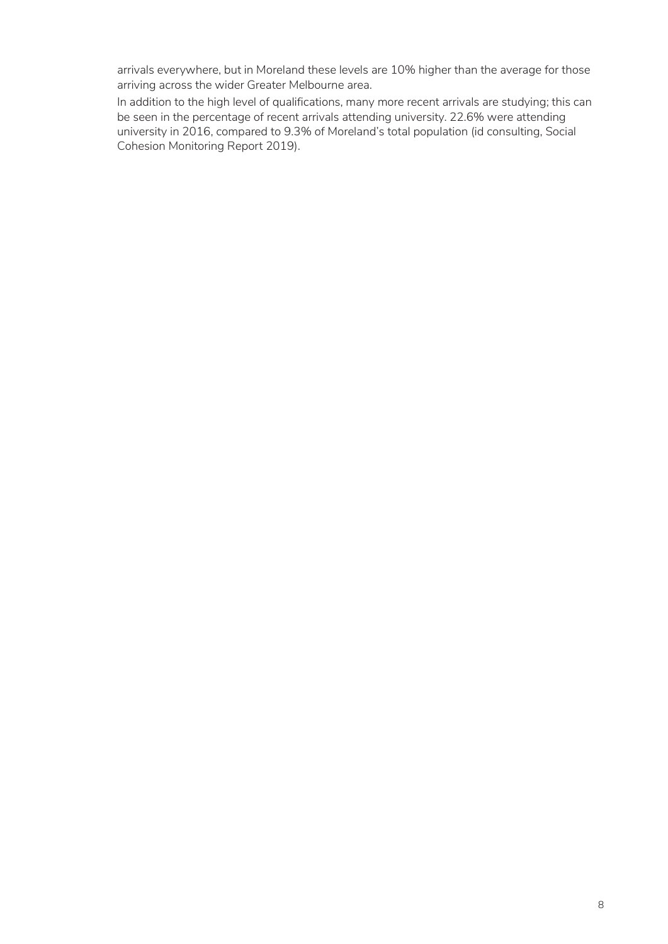arrivals everywhere, but in Moreland these levels are 10% higher than the average for those arriving across the wider Greater Melbourne area.

In addition to the high level of qualifications, many more recent arrivals are studying; this can be seen in the percentage of recent arrivals attending university. 22.6% were attending university in 2016, compared to 9.3% of Moreland's total population (id consulting, Social Cohesion Monitoring Report 2019).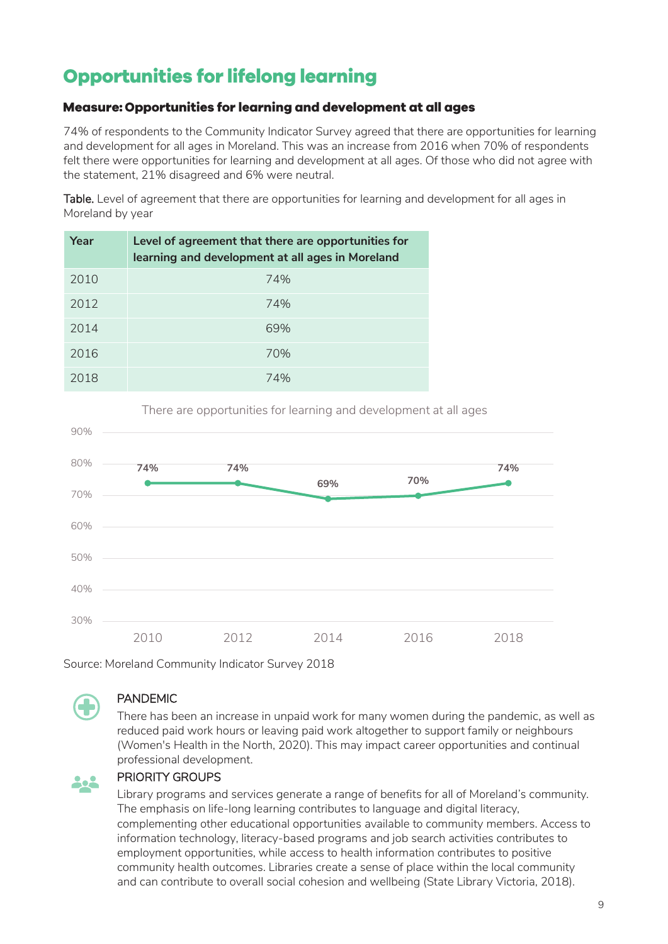### <span id="page-8-0"></span>**Opportunities for lifelong learning**

### <span id="page-8-1"></span>Measure: Opportunities for learning and development at all ages

74% of respondents to the Community Indicator Survey agreed that there are opportunities for learning and development for all ages in Moreland. This was an increase from 2016 when 70% of respondents felt there were opportunities for learning and development at all ages. Of those who did not agree with the statement, 21% disagreed and 6% were neutral.

Table. Level of agreement that there are opportunities for learning and development for all ages in Moreland by year

| Year | Level of agreement that there are opportunities for<br>learning and development at all ages in Moreland |
|------|---------------------------------------------------------------------------------------------------------|
| 2010 | 74%                                                                                                     |
| 2012 | 74%                                                                                                     |
| 2014 | 69%                                                                                                     |
| 2016 | 70%                                                                                                     |
| 2018 | 74%                                                                                                     |

There are opportunities for learning and development at all ages



Source: Moreland Community Indicator Survey 2018

### PANDEMIC

There has been an increase in unpaid work for many women during the pandemic, as well as reduced paid work hours or leaving paid work altogether to support family or neighbours (Women's Health in the North, 2020). This may impact career opportunities and continual professional development.



### PRIORITY GROUPS

Library programs and services generate a range of benefits for all of Moreland's community. The emphasis on life-long learning contributes to language and digital literacy, complementing other educational opportunities available to community members. Access to information technology, literacy-based programs and job search activities contributes to employment opportunities, while access to health information contributes to positive community health outcomes. Libraries create a sense of place within the local community and can contribute to overall social cohesion and wellbeing (State Library Victoria, 2018).